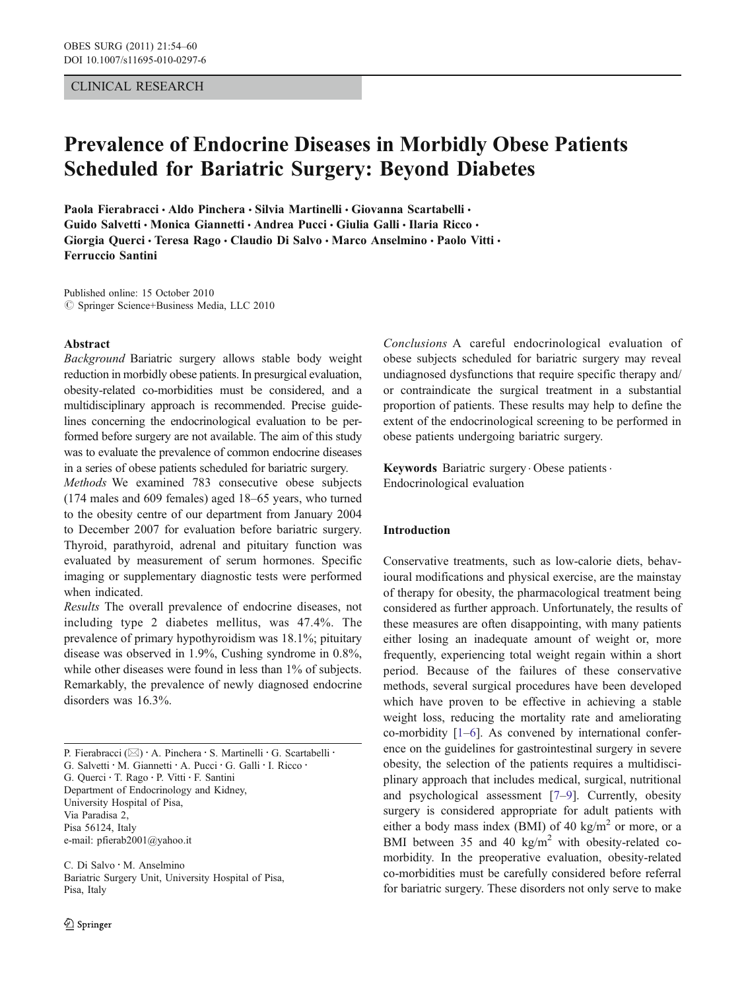## CLINICAL RESEARCH

# Prevalence of Endocrine Diseases in Morbidly Obese Patients Scheduled for Bariatric Surgery: Beyond Diabetes

Paola Fierabracci · Aldo Pinchera · Silvia Martinelli · Giovanna Scartabelli · Guido Salvetti • Monica Giannetti • Andrea Pucci • Giulia Galli • Ilaria Ricco • Giorgia Querci • Teresa Rago • Claudio Di Salvo • Marco Anselmino • Paolo Vitti • Ferruccio Santini

Published online: 15 October 2010  $\oslash$  Springer Science+Business Media, LLC 2010

#### Abstract

Background Bariatric surgery allows stable body weight reduction in morbidly obese patients. In presurgical evaluation, obesity-related co-morbidities must be considered, and a multidisciplinary approach is recommended. Precise guidelines concerning the endocrinological evaluation to be performed before surgery are not available. The aim of this study was to evaluate the prevalence of common endocrine diseases in a series of obese patients scheduled for bariatric surgery.

Methods We examined 783 consecutive obese subjects (174 males and 609 females) aged 18–65 years, who turned to the obesity centre of our department from January 2004 to December 2007 for evaluation before bariatric surgery. Thyroid, parathyroid, adrenal and pituitary function was evaluated by measurement of serum hormones. Specific imaging or supplementary diagnostic tests were performed when indicated.

Results The overall prevalence of endocrine diseases, not including type 2 diabetes mellitus, was 47.4%. The prevalence of primary hypothyroidism was 18.1%; pituitary disease was observed in 1.9%, Cushing syndrome in 0.8%, while other diseases were found in less than 1% of subjects. Remarkably, the prevalence of newly diagnosed endocrine disorders was 16.3%.

P. Fierabracci (⊠) · A. Pinchera · S. Martinelli · G. Scartabelli · G. Salvetti · M. Giannetti · A. Pucci · G. Galli · I. Ricco · G. Querci : T. Rago : P. Vitti : F. Santini Department of Endocrinology and Kidney, University Hospital of Pisa, Via Paradisa 2, Pisa 56124, Italy e-mail: pfierab2001@yahoo.it

C. Di Salvo : M. Anselmino Bariatric Surgery Unit, University Hospital of Pisa, Pisa, Italy

Conclusions A careful endocrinological evaluation of obese subjects scheduled for bariatric surgery may reveal undiagnosed dysfunctions that require specific therapy and/ or contraindicate the surgical treatment in a substantial proportion of patients. These results may help to define the extent of the endocrinological screening to be performed in obese patients undergoing bariatric surgery.

Keywords Bariatric surgery. Obese patients. Endocrinological evaluation

## Introduction

Conservative treatments, such as low-calorie diets, behavioural modifications and physical exercise, are the mainstay of therapy for obesity, the pharmacological treatment being considered as further approach. Unfortunately, the results of these measures are often disappointing, with many patients either losing an inadequate amount of weight or, more frequently, experiencing total weight regain within a short period. Because of the failures of these conservative methods, several surgical procedures have been developed which have proven to be effective in achieving a stable weight loss, reducing the mortality rate and ameliorating co-morbidity [\[1](#page-5-0)–[6](#page-5-0)]. As convened by international conference on the guidelines for gastrointestinal surgery in severe obesity, the selection of the patients requires a multidisciplinary approach that includes medical, surgical, nutritional and psychological assessment [\[7](#page-5-0)–[9](#page-5-0)]. Currently, obesity surgery is considered appropriate for adult patients with either a body mass index (BMI) of 40 kg/m<sup>2</sup> or more, or a BMI between 35 and 40 kg/m<sup>2</sup> with obesity-related comorbidity. In the preoperative evaluation, obesity-related co-morbidities must be carefully considered before referral for bariatric surgery. These disorders not only serve to make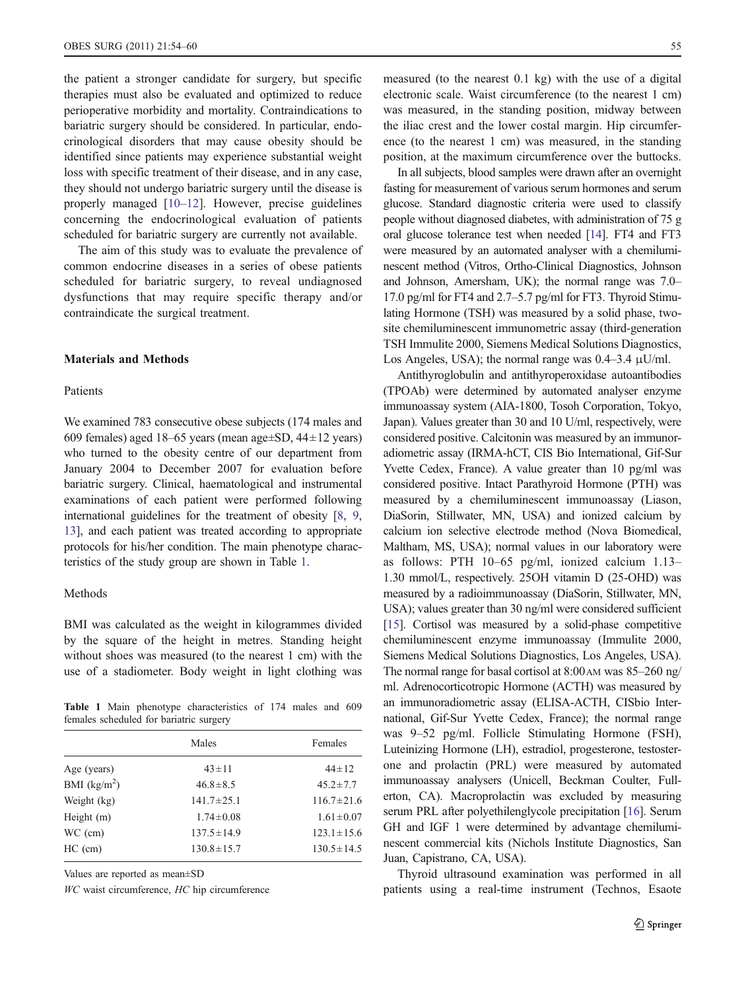the patient a stronger candidate for surgery, but specific therapies must also be evaluated and optimized to reduce perioperative morbidity and mortality. Contraindications to bariatric surgery should be considered. In particular, endocrinological disorders that may cause obesity should be identified since patients may experience substantial weight loss with specific treatment of their disease, and in any case, they should not undergo bariatric surgery until the disease is properly managed [\[10](#page-5-0)–[12](#page-5-0)]. However, precise guidelines concerning the endocrinological evaluation of patients scheduled for bariatric surgery are currently not available.

The aim of this study was to evaluate the prevalence of common endocrine diseases in a series of obese patients scheduled for bariatric surgery, to reveal undiagnosed dysfunctions that may require specific therapy and/or contraindicate the surgical treatment.

#### Materials and Methods

## Patients

We examined 783 consecutive obese subjects (174 males and 609 females) aged 18–65 years (mean age $\pm$ SD, 44 $\pm$ 12 years) who turned to the obesity centre of our department from January 2004 to December 2007 for evaluation before bariatric surgery. Clinical, haematological and instrumental examinations of each patient were performed following international guidelines for the treatment of obesity [\[8](#page-5-0), [9,](#page-5-0) [13\]](#page-5-0), and each patient was treated according to appropriate protocols for his/her condition. The main phenotype characteristics of the study group are shown in Table 1.

#### Methods

BMI was calculated as the weight in kilogrammes divided by the square of the height in metres. Standing height without shoes was measured (to the nearest 1 cm) with the use of a stadiometer. Body weight in light clothing was

Table 1 Main phenotype characteristics of 174 males and 609 females scheduled for bariatric surgery

| Males            | Females          |
|------------------|------------------|
| $43 \pm 11$      | $44 \pm 12$      |
| $46.8 \pm 8.5$   | $45.2 \pm 7.7$   |
| $141.7 \pm 25.1$ | $116.7 \pm 21.6$ |
| $1.74 \pm 0.08$  | $1.61 \pm 0.07$  |
| $137.5 \pm 14.9$ | $123.1 \pm 15.6$ |
| $130.8 \pm 15.7$ | $130.5 \pm 14.5$ |
|                  |                  |

Values are reported as mean±SD

WC waist circumference, HC hip circumference

measured (to the nearest 0.1 kg) with the use of a digital electronic scale. Waist circumference (to the nearest 1 cm) was measured, in the standing position, midway between the iliac crest and the lower costal margin. Hip circumference (to the nearest 1 cm) was measured, in the standing position, at the maximum circumference over the buttocks.

In all subjects, blood samples were drawn after an overnight fasting for measurement of various serum hormones and serum glucose. Standard diagnostic criteria were used to classify people without diagnosed diabetes, with administration of 75 g oral glucose tolerance test when needed [\[14\]](#page-5-0). FT4 and FT3 were measured by an automated analyser with a chemiluminescent method (Vitros, Ortho-Clinical Diagnostics, Johnson and Johnson, Amersham, UK); the normal range was 7.0– 17.0 pg/ml for FT4 and 2.7–5.7 pg/ml for FT3. Thyroid Stimulating Hormone (TSH) was measured by a solid phase, twosite chemiluminescent immunometric assay (third-generation TSH Immulite 2000, Siemens Medical Solutions Diagnostics, Los Angeles, USA); the normal range was  $0.4-3.4 \mu U/ml$ .

Antithyroglobulin and antithyroperoxidase autoantibodies (TPOAb) were determined by automated analyser enzyme immunoassay system (AIA-1800, Tosoh Corporation, Tokyo, Japan). Values greater than 30 and 10 U/ml, respectively, were considered positive. Calcitonin was measured by an immunoradiometric assay (IRMA-hCT, CIS Bio International, Gif-Sur Yvette Cedex, France). A value greater than 10 pg/ml was considered positive. Intact Parathyroid Hormone (PTH) was measured by a chemiluminescent immunoassay (Liason, DiaSorin, Stillwater, MN, USA) and ionized calcium by calcium ion selective electrode method (Nova Biomedical, Maltham, MS, USA); normal values in our laboratory were as follows: PTH 10–65 pg/ml, ionized calcium 1.13– 1.30 mmol/L, respectively. 25OH vitamin D (25-OHD) was measured by a radioimmunoassay (DiaSorin, Stillwater, MN, USA); values greater than 30 ng/ml were considered sufficient [\[15\]](#page-5-0). Cortisol was measured by a solid-phase competitive chemiluminescent enzyme immunoassay (Immulite 2000, Siemens Medical Solutions Diagnostics, Los Angeles, USA). The normal range for basal cortisol at  $8:00$  AM was  $85-260$  ng/ ml. Adrenocorticotropic Hormone (ACTH) was measured by an immunoradiometric assay (ELISA-ACTH, CISbio International, Gif-Sur Yvette Cedex, France); the normal range was 9–52 pg/ml. Follicle Stimulating Hormone (FSH), Luteinizing Hormone (LH), estradiol, progesterone, testosterone and prolactin (PRL) were measured by automated immunoassay analysers (Unicell, Beckman Coulter, Fullerton, CA). Macroprolactin was excluded by measuring serum PRL after polyethilenglycole precipitation [\[16\]](#page-5-0). Serum GH and IGF 1 were determined by advantage chemiluminescent commercial kits (Nichols Institute Diagnostics, San Juan, Capistrano, CA, USA).

Thyroid ultrasound examination was performed in all patients using a real-time instrument (Technos, Esaote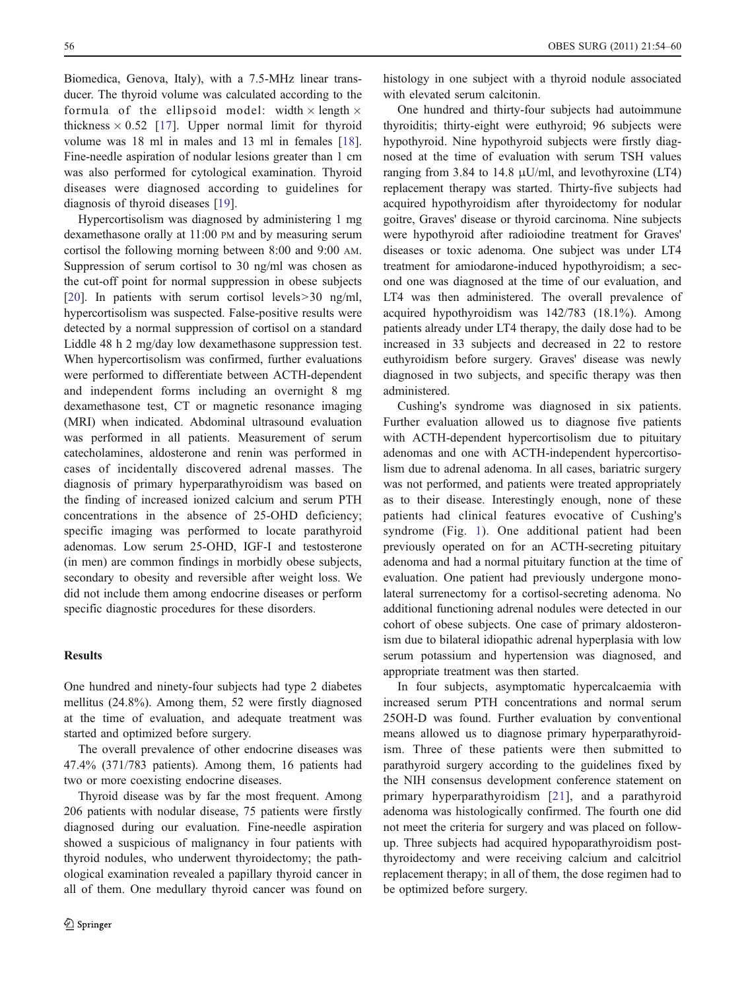Biomedica, Genova, Italy), with a 7.5-MHz linear transducer. The thyroid volume was calculated according to the formula of the ellipsoid model: width  $\times$  length  $\times$ thickness  $\times$  0.52 [\[17\]](#page-5-0). Upper normal limit for thyroid volume was 18 ml in males and 13 ml in females [\[18](#page-6-0)]. Fine-needle aspiration of nodular lesions greater than 1 cm was also performed for cytological examination. Thyroid diseases were diagnosed according to guidelines for diagnosis of thyroid diseases [[19\]](#page-6-0).

Hypercortisolism was diagnosed by administering 1 mg dexamethasone orally at 11:00 PM and by measuring serum cortisol the following morning between 8:00 and 9:00 AM. Suppression of serum cortisol to 30 ng/ml was chosen as the cut-off point for normal suppression in obese subjects [\[20](#page-6-0)]. In patients with serum cortisol levels>30 ng/ml, hypercortisolism was suspected. False-positive results were detected by a normal suppression of cortisol on a standard Liddle 48 h 2 mg/day low dexamethasone suppression test. When hypercortisolism was confirmed, further evaluations were performed to differentiate between ACTH-dependent and independent forms including an overnight 8 mg dexamethasone test, CT or magnetic resonance imaging (MRI) when indicated. Abdominal ultrasound evaluation was performed in all patients. Measurement of serum catecholamines, aldosterone and renin was performed in cases of incidentally discovered adrenal masses. The diagnosis of primary hyperparathyroidism was based on the finding of increased ionized calcium and serum PTH concentrations in the absence of 25-OHD deficiency; specific imaging was performed to locate parathyroid adenomas. Low serum 25-OHD, IGF-I and testosterone (in men) are common findings in morbidly obese subjects, secondary to obesity and reversible after weight loss. We did not include them among endocrine diseases or perform specific diagnostic procedures for these disorders.

## **Results**

One hundred and ninety-four subjects had type 2 diabetes mellitus (24.8%). Among them, 52 were firstly diagnosed at the time of evaluation, and adequate treatment was started and optimized before surgery.

The overall prevalence of other endocrine diseases was 47.4% (371/783 patients). Among them, 16 patients had two or more coexisting endocrine diseases.

Thyroid disease was by far the most frequent. Among 206 patients with nodular disease, 75 patients were firstly diagnosed during our evaluation. Fine-needle aspiration showed a suspicious of malignancy in four patients with thyroid nodules, who underwent thyroidectomy; the pathological examination revealed a papillary thyroid cancer in all of them. One medullary thyroid cancer was found on

histology in one subject with a thyroid nodule associated with elevated serum calcitonin.

One hundred and thirty-four subjects had autoimmune thyroiditis; thirty-eight were euthyroid; 96 subjects were hypothyroid. Nine hypothyroid subjects were firstly diagnosed at the time of evaluation with serum TSH values ranging from 3.84 to 14.8  $\mu$ U/ml, and levothyroxine (LT4) replacement therapy was started. Thirty-five subjects had acquired hypothyroidism after thyroidectomy for nodular goitre, Graves' disease or thyroid carcinoma. Nine subjects were hypothyroid after radioiodine treatment for Graves' diseases or toxic adenoma. One subject was under LT4 treatment for amiodarone-induced hypothyroidism; a second one was diagnosed at the time of our evaluation, and LT4 was then administered. The overall prevalence of acquired hypothyroidism was 142/783 (18.1%). Among patients already under LT4 therapy, the daily dose had to be increased in 33 subjects and decreased in 22 to restore euthyroidism before surgery. Graves' disease was newly diagnosed in two subjects, and specific therapy was then administered.

Cushing's syndrome was diagnosed in six patients. Further evaluation allowed us to diagnose five patients with ACTH-dependent hypercortisolism due to pituitary adenomas and one with ACTH-independent hypercortisolism due to adrenal adenoma. In all cases, bariatric surgery was not performed, and patients were treated appropriately as to their disease. Interestingly enough, none of these patients had clinical features evocative of Cushing's syndrome (Fig. [1\)](#page-3-0). One additional patient had been previously operated on for an ACTH-secreting pituitary adenoma and had a normal pituitary function at the time of evaluation. One patient had previously undergone monolateral surrenectomy for a cortisol-secreting adenoma. No additional functioning adrenal nodules were detected in our cohort of obese subjects. One case of primary aldosteronism due to bilateral idiopathic adrenal hyperplasia with low serum potassium and hypertension was diagnosed, and appropriate treatment was then started.

In four subjects, asymptomatic hypercalcaemia with increased serum PTH concentrations and normal serum 25OH-D was found. Further evaluation by conventional means allowed us to diagnose primary hyperparathyroidism. Three of these patients were then submitted to parathyroid surgery according to the guidelines fixed by the NIH consensus development conference statement on primary hyperparathyroidism [\[21\]](#page-6-0), and a parathyroid adenoma was histologically confirmed. The fourth one did not meet the criteria for surgery and was placed on followup. Three subjects had acquired hypoparathyroidism postthyroidectomy and were receiving calcium and calcitriol replacement therapy; in all of them, the dose regimen had to be optimized before surgery.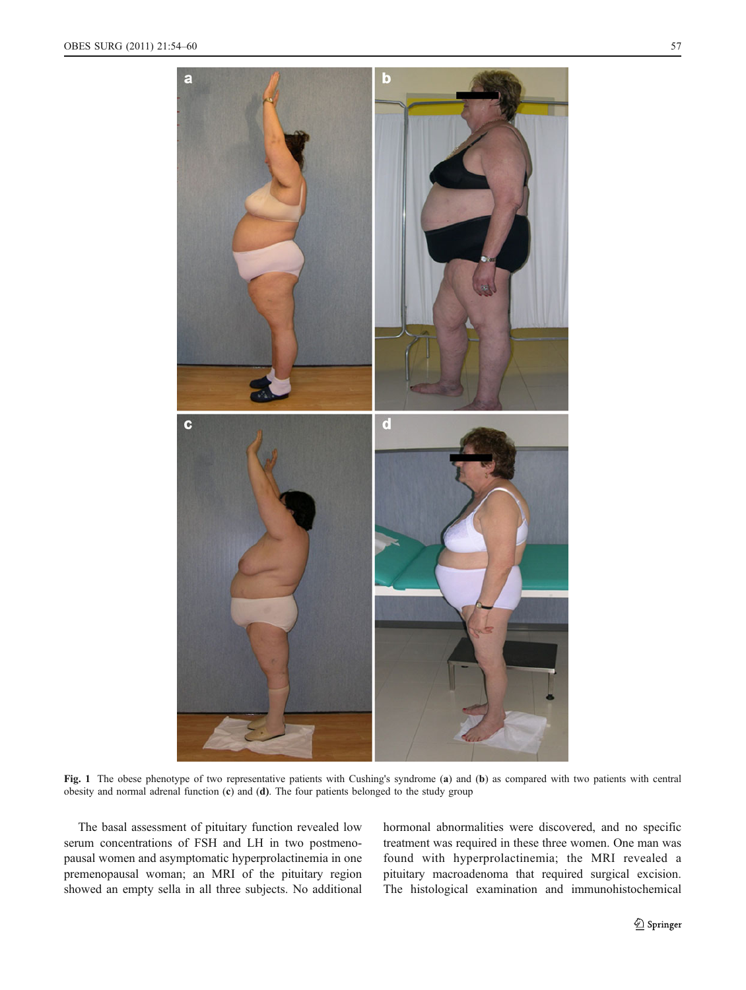<span id="page-3-0"></span>

Fig. 1 The obese phenotype of two representative patients with Cushing's syndrome (a) and (b) as compared with two patients with central obesity and normal adrenal function (c) and (d). The four patients belonged to the study group

The basal assessment of pituitary function revealed low serum concentrations of FSH and LH in two postmenopausal women and asymptomatic hyperprolactinemia in one premenopausal woman; an MRI of the pituitary region showed an empty sella in all three subjects. No additional hormonal abnormalities were discovered, and no specific treatment was required in these three women. One man was found with hyperprolactinemia; the MRI revealed a pituitary macroadenoma that required surgical excision. The histological examination and immunohistochemical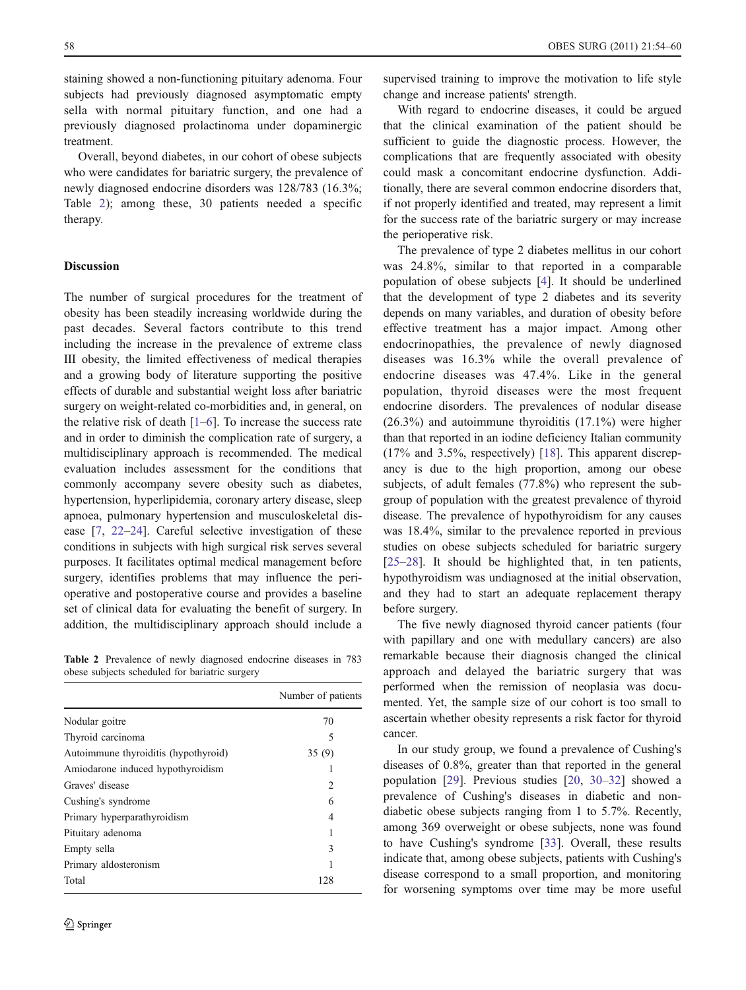staining showed a non-functioning pituitary adenoma. Four subjects had previously diagnosed asymptomatic empty sella with normal pituitary function, and one had a previously diagnosed prolactinoma under dopaminergic treatment.

Overall, beyond diabetes, in our cohort of obese subjects who were candidates for bariatric surgery, the prevalence of newly diagnosed endocrine disorders was 128/783 (16.3%; Table 2); among these, 30 patients needed a specific therapy.

## Discussion

The number of surgical procedures for the treatment of obesity has been steadily increasing worldwide during the past decades. Several factors contribute to this trend including the increase in the prevalence of extreme class III obesity, the limited effectiveness of medical therapies and a growing body of literature supporting the positive effects of durable and substantial weight loss after bariatric surgery on weight-related co-morbidities and, in general, on the relative risk of death [[1](#page-5-0)–[6\]](#page-5-0). To increase the success rate and in order to diminish the complication rate of surgery, a multidisciplinary approach is recommended. The medical evaluation includes assessment for the conditions that commonly accompany severe obesity such as diabetes, hypertension, hyperlipidemia, coronary artery disease, sleep apnoea, pulmonary hypertension and musculoskeletal disease [\[7](#page-5-0), [22](#page-6-0)–[24](#page-6-0)]. Careful selective investigation of these conditions in subjects with high surgical risk serves several purposes. It facilitates optimal medical management before surgery, identifies problems that may influence the perioperative and postoperative course and provides a baseline set of clinical data for evaluating the benefit of surgery. In addition, the multidisciplinary approach should include a

Table 2 Prevalence of newly diagnosed endocrine diseases in 783 obese subjects scheduled for bariatric surgery

|                                      | Number of patients |
|--------------------------------------|--------------------|
| Nodular goitre                       | 70                 |
| Thyroid carcinoma                    | 5                  |
| Autoimmune thyroiditis (hypothyroid) | 35(9)              |
| Amiodarone induced hypothyroidism    |                    |
| Graves' disease                      | 2                  |
| Cushing's syndrome                   | 6                  |
| Primary hyperparathyroidism          | 4                  |
| Pituitary adenoma                    |                    |
| Empty sella                          | 3                  |
| Primary aldosteronism                |                    |
| Total                                | 128                |

supervised training to improve the motivation to life style change and increase patients' strength.

With regard to endocrine diseases, it could be argued that the clinical examination of the patient should be sufficient to guide the diagnostic process. However, the complications that are frequently associated with obesity could mask a concomitant endocrine dysfunction. Additionally, there are several common endocrine disorders that, if not properly identified and treated, may represent a limit for the success rate of the bariatric surgery or may increase the perioperative risk.

The prevalence of type 2 diabetes mellitus in our cohort was 24.8%, similar to that reported in a comparable population of obese subjects [[4\]](#page-5-0). It should be underlined that the development of type 2 diabetes and its severity depends on many variables, and duration of obesity before effective treatment has a major impact. Among other endocrinopathies, the prevalence of newly diagnosed diseases was 16.3% while the overall prevalence of endocrine diseases was 47.4%. Like in the general population, thyroid diseases were the most frequent endocrine disorders. The prevalences of nodular disease (26.3%) and autoimmune thyroiditis (17.1%) were higher than that reported in an iodine deficiency Italian community (17% and 3.5%, respectively) [\[18](#page-6-0)]. This apparent discrepancy is due to the high proportion, among our obese subjects, of adult females (77.8%) who represent the subgroup of population with the greatest prevalence of thyroid disease. The prevalence of hypothyroidism for any causes was 18.4%, similar to the prevalence reported in previous studies on obese subjects scheduled for bariatric surgery [\[25](#page-6-0)–[28](#page-6-0)]. It should be highlighted that, in ten patients, hypothyroidism was undiagnosed at the initial observation, and they had to start an adequate replacement therapy before surgery.

The five newly diagnosed thyroid cancer patients (four with papillary and one with medullary cancers) are also remarkable because their diagnosis changed the clinical approach and delayed the bariatric surgery that was performed when the remission of neoplasia was documented. Yet, the sample size of our cohort is too small to ascertain whether obesity represents a risk factor for thyroid cancer.

In our study group, we found a prevalence of Cushing's diseases of 0.8%, greater than that reported in the general population [[29\]](#page-6-0). Previous studies [\[20](#page-6-0), [30](#page-6-0)–[32](#page-6-0)] showed a prevalence of Cushing's diseases in diabetic and nondiabetic obese subjects ranging from 1 to 5.7%. Recently, among 369 overweight or obese subjects, none was found to have Cushing's syndrome [[33\]](#page-6-0). Overall, these results indicate that, among obese subjects, patients with Cushing's disease correspond to a small proportion, and monitoring for worsening symptoms over time may be more useful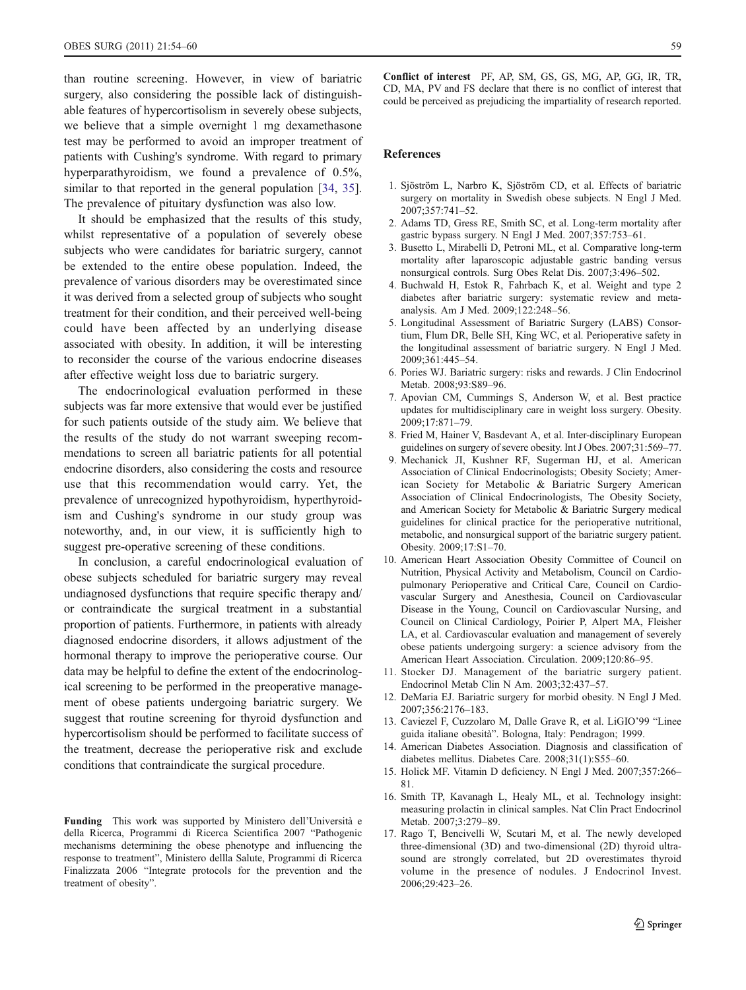<span id="page-5-0"></span>than routine screening. However, in view of bariatric surgery, also considering the possible lack of distinguishable features of hypercortisolism in severely obese subjects, we believe that a simple overnight 1 mg dexamethasone test may be performed to avoid an improper treatment of patients with Cushing's syndrome. With regard to primary hyperparathyroidism, we found a prevalence of 0.5%, similar to that reported in the general population [\[34](#page-6-0), [35](#page-6-0)]. The prevalence of pituitary dysfunction was also low.

It should be emphasized that the results of this study, whilst representative of a population of severely obese subjects who were candidates for bariatric surgery, cannot be extended to the entire obese population. Indeed, the prevalence of various disorders may be overestimated since it was derived from a selected group of subjects who sought treatment for their condition, and their perceived well-being could have been affected by an underlying disease associated with obesity. In addition, it will be interesting to reconsider the course of the various endocrine diseases after effective weight loss due to bariatric surgery.

The endocrinological evaluation performed in these subjects was far more extensive that would ever be justified for such patients outside of the study aim. We believe that the results of the study do not warrant sweeping recommendations to screen all bariatric patients for all potential endocrine disorders, also considering the costs and resource use that this recommendation would carry. Yet, the prevalence of unrecognized hypothyroidism, hyperthyroidism and Cushing's syndrome in our study group was noteworthy, and, in our view, it is sufficiently high to suggest pre-operative screening of these conditions.

In conclusion, a careful endocrinological evaluation of obese subjects scheduled for bariatric surgery may reveal undiagnosed dysfunctions that require specific therapy and/ or contraindicate the surgical treatment in a substantial proportion of patients. Furthermore, in patients with already diagnosed endocrine disorders, it allows adjustment of the hormonal therapy to improve the perioperative course. Our data may be helpful to define the extent of the endocrinological screening to be performed in the preoperative management of obese patients undergoing bariatric surgery. We suggest that routine screening for thyroid dysfunction and hypercortisolism should be performed to facilitate success of the treatment, decrease the perioperative risk and exclude conditions that contraindicate the surgical procedure.

Funding This work was supported by Ministero dell'Università e della Ricerca, Programmi di Ricerca Scientifica 2007 "Pathogenic mechanisms determining the obese phenotype and influencing the response to treatment", Ministero dellla Salute, Programmi di Ricerca Finalizzata 2006 "Integrate protocols for the prevention and the treatment of obesity".

Conflict of interest PF, AP, SM, GS, GS, MG, AP, GG, IR, TR, CD, MA, PV and FS declare that there is no conflict of interest that could be perceived as prejudicing the impartiality of research reported.

#### References

- 1. Sjöström L, Narbro K, Sjöström CD, et al. Effects of bariatric surgery on mortality in Swedish obese subjects. N Engl J Med. 2007;357:741–52.
- 2. Adams TD, Gress RE, Smith SC, et al. Long-term mortality after gastric bypass surgery. N Engl J Med. 2007;357:753–61.
- 3. Busetto L, Mirabelli D, Petroni ML, et al. Comparative long-term mortality after laparoscopic adjustable gastric banding versus nonsurgical controls. Surg Obes Relat Dis. 2007;3:496–502.
- 4. Buchwald H, Estok R, Fahrbach K, et al. Weight and type 2 diabetes after bariatric surgery: systematic review and metaanalysis. Am J Med. 2009;122:248–56.
- 5. Longitudinal Assessment of Bariatric Surgery (LABS) Consortium, Flum DR, Belle SH, King WC, et al. Perioperative safety in the longitudinal assessment of bariatric surgery. N Engl J Med. 2009;361:445–54.
- 6. Pories WJ. Bariatric surgery: risks and rewards. J Clin Endocrinol Metab. 2008;93:S89–96.
- 7. Apovian CM, Cummings S, Anderson W, et al. Best practice updates for multidisciplinary care in weight loss surgery. Obesity. 2009;17:871–79.
- 8. Fried M, Hainer V, Basdevant A, et al. Inter-disciplinary European guidelines on surgery of severe obesity. Int J Obes. 2007;31:569–77.
- 9. Mechanick JI, Kushner RF, Sugerman HJ, et al. American Association of Clinical Endocrinologists; Obesity Society; American Society for Metabolic & Bariatric Surgery American Association of Clinical Endocrinologists, The Obesity Society, and American Society for Metabolic & Bariatric Surgery medical guidelines for clinical practice for the perioperative nutritional, metabolic, and nonsurgical support of the bariatric surgery patient. Obesity. 2009;17:S1–70.
- 10. American Heart Association Obesity Committee of Council on Nutrition, Physical Activity and Metabolism, Council on Cardiopulmonary Perioperative and Critical Care, Council on Cardiovascular Surgery and Anesthesia, Council on Cardiovascular Disease in the Young, Council on Cardiovascular Nursing, and Council on Clinical Cardiology, Poirier P, Alpert MA, Fleisher LA, et al. Cardiovascular evaluation and management of severely obese patients undergoing surgery: a science advisory from the American Heart Association. Circulation. 2009;120:86–95.
- 11. Stocker DJ. Management of the bariatric surgery patient. Endocrinol Metab Clin N Am. 2003;32:437–57.
- 12. DeMaria EJ. Bariatric surgery for morbid obesity. N Engl J Med. 2007;356:2176–183.
- 13. Caviezel F, Cuzzolaro M, Dalle Grave R, et al. LiGIO'99 "Linee guida italiane obesità". Bologna, Italy: Pendragon; 1999.
- 14. American Diabetes Association. Diagnosis and classification of diabetes mellitus. Diabetes Care. 2008;31(1):S55–60.
- 15. Holick MF. Vitamin D deficiency. N Engl J Med. 2007;357:266– 81.
- 16. Smith TP, Kavanagh L, Healy ML, et al. Technology insight: measuring prolactin in clinical samples. Nat Clin Pract Endocrinol Metab. 2007;3:279–89.
- 17. Rago T, Bencivelli W, Scutari M, et al. The newly developed three-dimensional (3D) and two-dimensional (2D) thyroid ultrasound are strongly correlated, but 2D overestimates thyroid volume in the presence of nodules. J Endocrinol Invest. 2006;29:423–26.